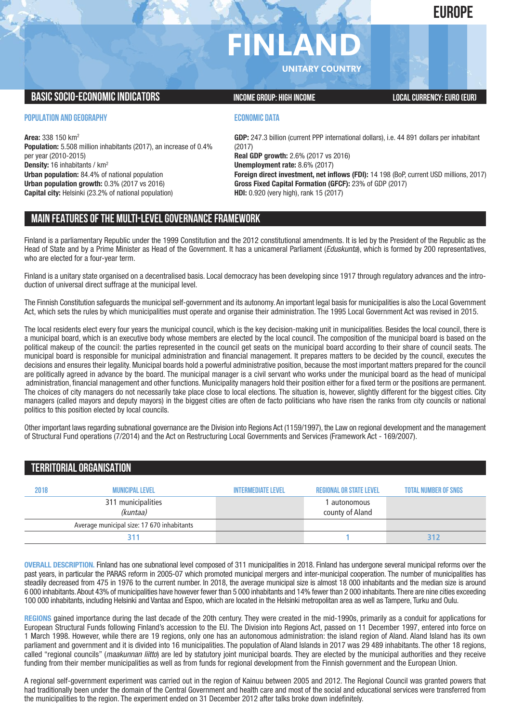## **EUROPE**

# **FINLAND**

**UNITARY COUNTRY**

#### **BASIC SOCIO-ECONOMIC INDICATORS INCOME GROUP:** HIGH INCOME GROUP: HIGH INCOME

#### **POPULATION AND GEOGRAPHY**

**Area:** 338 150 km2 **Population:** 5.508 million inhabitants (2017), an increase of 0.4% per year (2010-2015) **Density:** 16 inhabitants / km2 **Urban population:** 84.4% of national population **Urban population growth:** 0.3% (2017 vs 2016) **Capital city:** Helsinki (23.2% of national population)

#### **ECONOMIC DATA**

**GDP:** 247.3 billion (current PPP international dollars), i.e. 44 891 dollars per inhabitant (2017) **Real GDP growth:** 2.6% (2017 vs 2016) **Unemployment rate:** 8.6% (2017) **Foreign direct investment, net inflows (FDI):** 14 198 (BoP, current USD millions, 2017) **Gross Fixed Capital Formation (GFCF):** 23% of GDP (2017) **HDI:** 0.920 (very high), rank 15 (2017)

### **MAIN FEATURESOFTHE MULTI-LEVELGOVERNANCEFRAMEWORK**

Finland is a parliamentary Republic under the 1999 Constitution and the 2012 constitutional amendments. It is led by the President of the Republic as the Head of State and by a Prime Minister as Head of the Government. It has a unicameral Parliament (*Eduskunta*), which is formed by 200 representatives, who are elected for a four-year term.

Finland is a unitary state organised on a decentralised basis. Local democracy has been developing since 1917 through regulatory advances and the introduction of universal direct suffrage at the municipal level.

The Finnish Constitution safeguards the municipal self-government and its autonomy.An important legal basis for municipalities is also the Local Government Act, which sets the rules by which municipalities must operate and organise their administration. The 1995 Local Government Act was revised in 2015.

The local residents elect every four years the municipal council, which is the key decision-making unit in municipalities. Besides the local council, there is a municipal board, which is an executive body whose members are elected by the local council. The composition of the municipal board is based on the political makeup of the council: the parties represented in the council get seats on the municipal board according to their share of council seats. The municipal board is responsible for municipal administration and financial management. It prepares matters to be decided by the council, executes the decisions and ensures their legality. Municipal boards hold a powerful administrative position, because the most important matters prepared for the council are politically agreed in advance by the board. The municipal manager is a civil servant who works under the municipal board as the head of municipal administration, financial management and other functions. Municipality managers hold their position either for a fixed term or the positions are permanent. The choices of city managers do not necessarily take place close to local elections. The situation is, however, slightly different for the biggest cities. City managers (called mayors and deputy mayors) in the biggest cities are often de facto politicians who have risen the ranks from city councils or national politics to this position elected by local councils.

Other important laws regarding subnational governance are the Division into Regions Act (1159/1997), the Law on regional development and the management of Structural Fund operations (7/2014) and the Act on Restructuring Local Governments and Services (Framework Act - 169/2007).

| <b>TERRITORIAL ORGANISATION</b> |                                            |                           |                                |                             |  |  |
|---------------------------------|--------------------------------------------|---------------------------|--------------------------------|-----------------------------|--|--|
| 2018                            | <b>MUNICIPAL LEVEL</b>                     | <b>INTERMEDIATE LEVEL</b> | <b>REGIONAL OR STATE LEVEL</b> | <b>TOTAL NUMBER OF SNGS</b> |  |  |
|                                 | 311 municipalities<br>(kuntaa)             |                           | autonomous<br>county of Aland  |                             |  |  |
|                                 | Average municipal size: 17 670 inhabitants |                           |                                |                             |  |  |
|                                 | 311                                        |                           |                                | 31.                         |  |  |

**OVERALL DESCRIPTION.** Finland has one subnational level composed of 311 municipalities in 2018. Finland has undergone several municipal reforms over the past years, in particular the PARAS reform in 2005-07 which promoted municipal mergers and inter-municipal cooperation. The number of municipalities has steadily decreased from 475 in 1976 to the current number. In 2018, the average municipal size is almost 18 000 inhabitants and the median size is around 6 000 inhabitants.About 43% of municipalities have however fewer than 5 000 inhabitants and 14% fewer than 2 000 inhabitants.There are nine cities exceeding 100 000 inhabitants, including Helsinki and Vantaa and Espoo, which are located in the Helsinki metropolitan area as well as Tampere, Turku and Oulu.

**REGIONS** gained importance during the last decade of the 20th century. They were created in the mid-1990s, primarily as a conduit for applications for European Structural Funds following Finland's accession to the EU. The Division into Regions Act, passed on 11 December 1997, entered into force on 1 March 1998. However, while there are 19 regions, only one has an autonomous administration: the island region of Aland. Aland Island has its own parliament and government and it is divided into 16 municipalities. The population of Aland Islands in 2017 was 29 489 inhabitants. The other 18 regions, called "regional councils" (*maakunnan liitto*) are led by statutory joint municipal boards. They are elected by the municipal authorities and they receive funding from their member municipalities as well as from funds for regional development from the Finnish government and the European Union.

A regional self-government experiment was carried out in the region of Kainuu between 2005 and 2012. The Regional Council was granted powers that had traditionally been under the domain of the Central Government and health care and most of the social and educational services were transferred from the municipalities to the region. The experiment ended on 31 December 2012 after talks broke down indefinitely.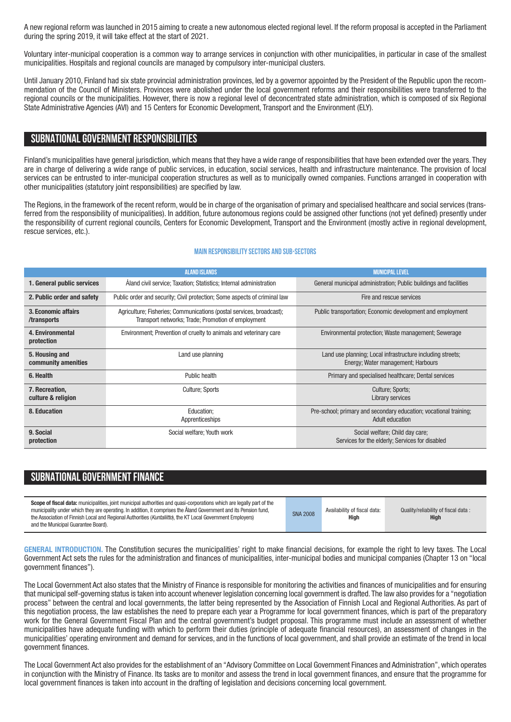A new regional reform was launched in 2015 aiming to create a new autonomous elected regional level. If the reform proposal is accepted in the Parliament during the spring 2019, it will take effect at the start of 2021.

Voluntary inter-municipal cooperation is a common way to arrange services in conjunction with other municipalities, in particular in case of the smallest municipalities. Hospitals and regional councils are managed by compulsory inter-municipal clusters.

Until January 2010, Finland had six state provincial administration provinces, led by a governor appointed by the President of the Republic upon the recommendation of the Council of Ministers. Provinces were abolished under the local government reforms and their responsibilities were transferred to the regional councils or the municipalities. However, there is now a regional level of deconcentrated state administration, which is composed of six Regional State Administrative Agencies (AVI) and 15 Centers for Economic Development, Transport and the Environment (ELY).

#### **SUBNATIONALGOVERNMENT RESPONSIBILITIES**

Finland's municipalities have general jurisdiction, which means that they have a wide range of responsibilities that have been extended over the years. They are in charge of delivering a wide range of public services, in education, social services, health and infrastructure maintenance. The provision of local services can be entrusted to inter-municipal cooperation structures as well as to municipally owned companies. Functions arranged in cooperation with other municipalities (statutory joint responsibilities) are specified by law.

The Regions, in the framework of the recent reform, would be in charge of the organisation of primary and specialised healthcare and social services (transferred from the responsibility of municipalities). In addition, future autonomous regions could be assigned other functions (not yet defined) presently under the responsibility of current regional councils, Centers for Economic Development, Transport and the Environment (mostly active in regional development, rescue services, etc.).

#### **Main responsibilitysectors and sub-sectors**

|                                                                                                                                                                  | <b>ALAND ISLANDS</b>                                                      | <b>MUNICIPAL LEVEL</b>                                                                           |  |  |
|------------------------------------------------------------------------------------------------------------------------------------------------------------------|---------------------------------------------------------------------------|--------------------------------------------------------------------------------------------------|--|--|
| 1. General public services                                                                                                                                       | Aland civil service; Taxation; Statistics; Internal administration        | General municipal administration; Public buildings and facilities                                |  |  |
| 2. Public order and safety                                                                                                                                       | Public order and security; Civil protection; Some aspects of criminal law | Fire and rescue services                                                                         |  |  |
| 3. Economic affairs<br>Agriculture; Fisheries; Communications (postal services, broadcast);<br>Transport networks; Trade; Promotion of employment<br>/transports |                                                                           | Public transportation; Economic development and employment                                       |  |  |
| Environment; Prevention of cruelty to animals and veterinary care<br>4. Environmental<br>protection                                                              |                                                                           | Environmental protection; Waste management; Sewerage                                             |  |  |
| 5. Housing and<br>community amenities                                                                                                                            | Land use planning                                                         | Land use planning; Local infrastructure including streets;<br>Energy; Water management; Harbours |  |  |
| 6. Health                                                                                                                                                        | Public health                                                             | Primary and specialised healthcare; Dental services                                              |  |  |
| 7. Recreation,<br>culture & religion                                                                                                                             | Culture; Sports                                                           | <b>Culture: Sports:</b><br>Library services                                                      |  |  |
| 8. Education<br>Education;<br>Apprenticeships                                                                                                                    |                                                                           | Pre-school; primary and secondary education; vocational training;<br><b>Adult education</b>      |  |  |
| 9. Social<br>protection                                                                                                                                          | Social welfare; Youth work                                                | Social welfare; Child day care;<br>Services for the elderly; Services for disabled               |  |  |

## **SUBNATIONAL GOVERNMENT FINANCE**

| Scope of fiscal data: municipalities, joint municipal authorities and quasi-corporations which are legally part of the<br>municipality under which they are operating. In addition, it comprises the Aland Government and its Pension fund,<br>the Association of Finnish Local and Regional Authorities (Kuntaliitto), the KT Local Government Employers)<br>and the Municipal Guarantee Board). | <b>SNA 2008</b> | Availability of fiscal data:<br>High | Quality/reliability of fiscal data:<br>High |
|---------------------------------------------------------------------------------------------------------------------------------------------------------------------------------------------------------------------------------------------------------------------------------------------------------------------------------------------------------------------------------------------------|-----------------|--------------------------------------|---------------------------------------------|
|---------------------------------------------------------------------------------------------------------------------------------------------------------------------------------------------------------------------------------------------------------------------------------------------------------------------------------------------------------------------------------------------------|-----------------|--------------------------------------|---------------------------------------------|

**GENERAL INTRODUCTION.** The Constitution secures the municipalities' right to make financial decisions, for example the right to levy taxes. The Local Government Act sets the rules for the administration and finances of municipalities, inter-municipal bodies and municipal companies (Chapter 13 on "local government finances").

The Local Government Act also states that the Ministry of Finance is responsible for monitoring the activities and finances of municipalities and for ensuring that municipal self-governing status is taken into account whenever legislation concerning local government is drafted. The law also provides for a "negotiation process" between the central and local governments, the latter being represented by the Association of Finnish Local and Regional Authorities. As part of this negotiation process, the law establishes the need to prepare each year a Programme for local government finances, which is part of the preparatory work for the General Government Fiscal Plan and the central government's budget proposal. This programme must include an assessment of whether municipalities have adequate funding with which to perform their duties (principle of adequate financial resources), an assessment of changes in the municipalities' operating environment and demand for services, and in the functions of local government, and shall provide an estimate of the trend in local government finances.

The Local Government Act also provides for the establishment of an "Advisory Committee on Local Government Finances and Administration",which operates in conjunction with the Ministry of Finance. Its tasks are to monitor and assess the trend in local government finances, and ensure that the programme for local government finances is taken into account in the drafting of legislation and decisions concerning local government.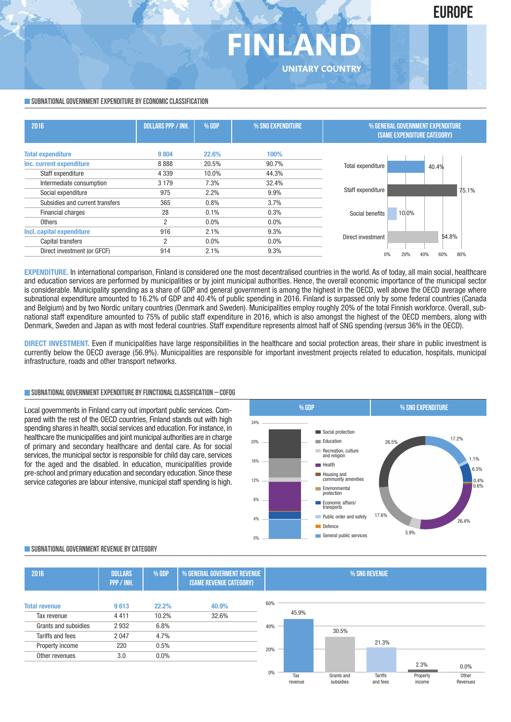## **FINLAND UNITARY COUNTRY**

#### **SUBNATIONAL GOVERNMENT EXPENDITURE BY ECONOMIC CLASSIFICATION**

| 2016                            | <b>DOLLARS PPP / INH.</b> | <b>% GDP</b> | % SNG EXPENDITURE | % GENERAL GOVERNMENT EXPENDITURE<br>(SAME EXPENDITURE CATEGORY) |            |
|---------------------------------|---------------------------|--------------|-------------------|-----------------------------------------------------------------|------------|
| <b>Total expenditure</b>        | 9804                      | 22.6%        | 100%              |                                                                 |            |
| Inc. current expenditure        | 8888                      | 20.5%        | 90.7%             | Total expenditure                                               | 40.4%      |
| Staff expenditure               | 4 3 3 9                   | 10.0%        | 44.3%             |                                                                 |            |
| Intermediate consumption        | 3 1 7 9                   | 7.3%         | 32.4%             |                                                                 |            |
| Social expenditure              | 975                       | 2.2%         | 9.9%              | Staff expenditure                                               | 75.1%      |
| Subsidies and current transfers | 365                       | 0.8%         | 3.7%              |                                                                 |            |
| Financial charges               | 28                        | 0.1%         | 0.3%              | 10.0%<br>Social benefits                                        |            |
| <b>Others</b>                   | 2                         | $0.0\%$      | $0.0\%$           |                                                                 |            |
| Incl. capital expenditure       | 916                       | 2.1%         | 9.3%              |                                                                 |            |
| Capital transfers               | 2                         | $0.0\%$      | $0.0\%$           | Direct investment                                               | 54.8%      |
| Direct investment (or GFCF)     | 914                       | 2.1%         | 9.3%              | 20%<br>40%<br>U%                                                | 60%<br>80% |
|                                 |                           |              |                   |                                                                 |            |

**EXPENDITURE.** In international comparison, Finland is considered one the most decentralised countries in the world. As of today, all main social, healthcare and education services are performed by municipalities or by joint municipal authorities. Hence, the overall economic importance of the municipal sector is considerable. Municipality spending as a share of GDP and general government is among the highest in the OECD, well above the OECD average where subnational expenditure amounted to 16.2% of GDP and 40.4% of public spending in 2016. Finland is surpassed only by some federal countries (Canada and Belgium) and by two Nordic unitary countries (Denmark and Sweden). Municipalities employ roughly 20% of the total Finnish workforce. Overall, subnational staff expenditure amounted to 75% of public staff expenditure in 2016, which is also amongst the highest of the OECD members, along with Denmark, Sweden and Japan as with most federal countries. Staff expenditure represents almost half of SNG spending (versus 36% in the OECD).

**DIRECT INVESTMENT.** Even if municipalities have large responsibilities in the healthcare and social protection areas, their share in public investment is currently below the OECD average (56.9%). Municipalities are responsible for important investment projects related to education, hospitals, municipal infrastructure, roads and other transport networks.

#### **SUBNATIONALGOVERNMENTEXPENDITURE BYFUNCTIONALCLASSIFICATION – COFOG**

Local governments in Finland carry out important public services. Compared with the rest of the OECD countries, Finland stands out with high spending shares in health, social services and education. For instance, in healthcare the municipalities and joint municipal authorities are in charge of primary and secondary healthcare and dental care. As for social services, the municipal sector is responsible for child day care, services for the aged and the disabled. In education, municipalities provide pre-school and primary education and secondary education. Since these service categories are labour intensive, municipal staff spending is high.



#### **SUBNATIONALGOVERNMENT REVENUE BYCATEGORY**